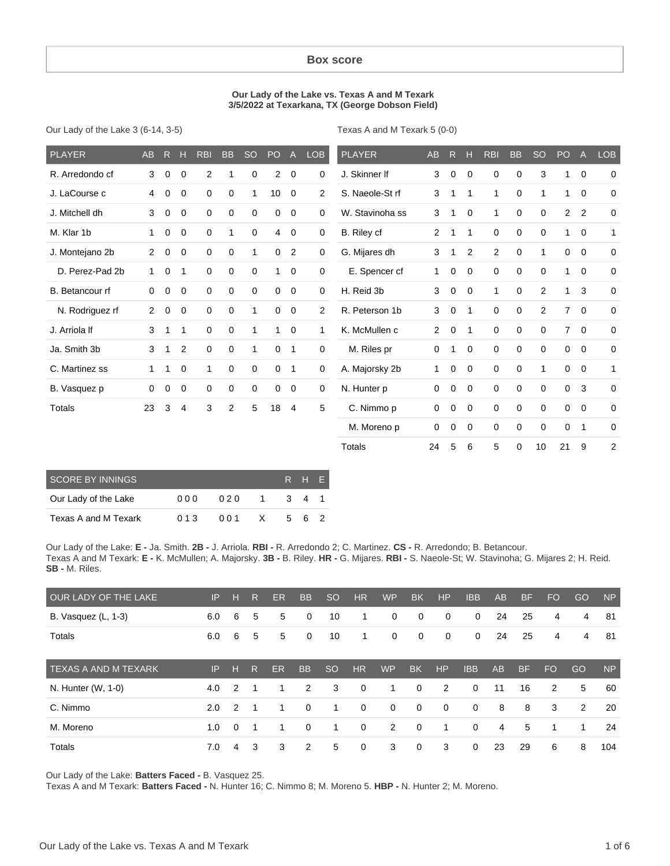#### **Box score**

#### **Our Lady of the Lake vs. Texas A and M Texark 3/5/2022 at Texarkana, TX (George Dobson Field)**

Our Lady of the Lake 3 (6-14, 3-5)

Texas A and M Texark 5 (0-0)

| <b>PLAYER</b>   | <b>AB</b>      | $\mathsf{R}$ | Н           | <b>RBI</b>     | <b>BB</b>   | <b>SO</b>    | PO              | $\overline{A}$ | <b>LOB</b>     | <b>PLAYER</b>   | AB             | R           | н            | <b>RBI</b>  | <b>BB</b>   | <b>SO</b>      | PO             | $\overline{A}$ | <b>LOB</b>     |
|-----------------|----------------|--------------|-------------|----------------|-------------|--------------|-----------------|----------------|----------------|-----------------|----------------|-------------|--------------|-------------|-------------|----------------|----------------|----------------|----------------|
| R. Arredondo cf | 3              | 0            | 0           | $\overline{2}$ | 1           | $\mathbf 0$  | $\overline{2}$  | $\overline{0}$ | 0              | J. Skinner If   | 3              | 0           | $\mathbf 0$  | 0           | 0           | 3              | 1              | $\mathbf 0$    | $\mathbf 0$    |
| J. LaCourse c   | 4              | 0            | $\mathbf 0$ | $\mathbf 0$    | $\mathbf 0$ | $\mathbf{1}$ | 10 <sup>°</sup> | $\mathbf 0$    | 2              | S. Naeole-St rf | 3              | 1           | 1            | 1           | $\mathbf 0$ | 1              | $\mathbf{1}$   | $\mathbf 0$    | $\mathbf 0$    |
| J. Mitchell dh  | 3              | $\mathbf 0$  | 0           | $\mathbf 0$    | $\mathbf 0$ | $\mathbf 0$  | $\mathbf 0$     | $\overline{0}$ | $\mathbf 0$    | W. Stavinoha ss | 3              | 1           | 0            | 1           | 0           | 0              | 2              | $\overline{2}$ | $\mathbf 0$    |
| M. Klar 1b      | 1              | 0            | 0           | $\mathbf 0$    | 1           | $\mathbf 0$  | 4               | $\overline{0}$ | $\mathbf 0$    | B. Riley cf     | $\overline{2}$ |             | 1            | 0           | 0           | 0              | $\mathbf{1}$   | $\mathbf 0$    | 1              |
| J. Montejano 2b | $\overline{2}$ | $\mathbf 0$  | $\mathbf 0$ | $\mathbf 0$    | $\mathbf 0$ | 1            | $\mathbf 0$     | 2              | $\mathbf 0$    | G. Mijares dh   | 3              | 1           | 2            | 2           | $\mathbf 0$ | 1              | $\mathbf 0$    | $\mathbf 0$    | $\mathbf 0$    |
| D. Perez-Pad 2b | $\mathbf{1}$   | $\mathbf 0$  | 1           | $\mathbf 0$    | $\mathbf 0$ | $\mathbf 0$  | $\mathbf{1}$    | $\overline{0}$ | $\mathbf 0$    | E. Spencer cf   | $\mathbf{1}$   | $\mathbf 0$ | $\mathbf 0$  | $\mathbf 0$ | $\mathbf 0$ | $\mathbf 0$    | $\mathbf{1}$   | $\mathbf 0$    | 0              |
| B. Betancour rf | 0              | 0            | $\mathbf 0$ | $\Omega$       | $\Omega$    | $\Omega$     | $\Omega$        | $\mathbf 0$    | $\mathbf 0$    | H. Reid 3b      | 3              | $\mathbf 0$ | $\Omega$     | 1           | $\Omega$    | $\overline{c}$ | 1              | 3              | $\mathbf 0$    |
| N. Rodriguez rf | $\overline{2}$ | $\mathbf 0$  | 0           | 0              | 0           | 1            | 0               | $\mathbf 0$    | $\overline{2}$ | R. Peterson 1b  | 3              | $\mathbf 0$ | $\mathbf 1$  | $\mathbf 0$ | 0           | $\overline{2}$ | $\overline{7}$ | $\mathbf{0}$   | $\mathbf 0$    |
| J. Arriola If   | 3              | $\mathbf{1}$ | 1           | $\mathbf 0$    | $\mathbf 0$ | 1            | $\mathbf{1}$    | $\overline{0}$ | 1              | K. McMullen c   | $\overline{2}$ | $\mathbf 0$ | $\mathbf{1}$ | $\mathbf 0$ | $\mathbf 0$ | $\mathbf 0$    | $\overline{7}$ | $\overline{0}$ | $\mathbf 0$    |
| Ja. Smith 3b    | 3              | 1            | 2           | $\mathbf 0$    | $\mathbf 0$ | 1            | 0               | $\mathbf{1}$   | $\mathbf 0$    | M. Riles pr     | 0              | 1           | 0            | 0           | $\mathbf 0$ | 0              | $\mathbf 0$    | $\mathbf 0$    | $\mathbf 0$    |
| C. Martinez ss  | $\mathbf{1}$   | 1            | 0           | 1              | $\mathbf 0$ | $\mathbf 0$  | $\mathbf 0$     | $\mathbf{1}$   | $\mathbf 0$    | A. Majorsky 2b  | $\mathbf{1}$   | 0           | $\mathbf 0$  | 0           | $\mathbf 0$ | 1              | $\mathbf 0$    | $\mathbf{0}$   | $\mathbf{1}$   |
| B. Vasquez p    | $\Omega$       | $\mathbf 0$  | $\mathbf 0$ | $\mathbf 0$    | $\mathbf 0$ | $\mathbf 0$  | $\mathbf 0$     | $\overline{0}$ | $\mathbf 0$    | N. Hunter p     | 0              | $\mathbf 0$ | $\mathbf 0$  | $\mathbf 0$ | $\mathbf 0$ | $\mathbf 0$    | $\mathbf 0$    | 3              | $\mathbf 0$    |
| Totals          | 23             | 3            | 4           | 3              | 2           | 5            | 18              | $\overline{4}$ | 5              | C. Nimmo p      | 0              | $\mathbf 0$ | $\Omega$     | $\Omega$    | $\mathbf 0$ | 0              | $\mathbf 0$    | $\mathbf 0$    | $\mathbf 0$    |
|                 |                |              |             |                |             |              |                 |                |                | M. Moreno p     | 0              | 0           | 0            | 0           | 0           | $\mathbf 0$    | 0              | $\mathbf 1$    | 0              |
|                 |                |              |             |                |             |              |                 |                |                | Totals          | 24             | 5           | 6            | 5           | 0           | 10             | 21             | 9              | $\overline{2}$ |
|                 |                |              |             |                |             |              |                 |                |                |                 |                |             |              |             |             |                |                |                |                |

| <b>SCORE BY INNINGS</b> |      | RHF. |              |     |     |  |
|-------------------------|------|------|--------------|-----|-----|--|
| Our Lady of the Lake    | 000  | 020  | $\mathbf 1$  | 341 |     |  |
| Texas A and M Texark    | 0.13 | 001  | $\mathsf{X}$ |     | 562 |  |

Our Lady of the Lake: **E -** Ja. Smith. **2B -** J. Arriola. **RBI -** R. Arredondo 2; C. Martinez. **CS -** R. Arredondo; B. Betancour. Texas A and M Texark: **E -** K. McMullen; A. Majorsky. **3B -** B. Riley. **HR -** G. Mijares. **RBI -** S. Naeole-St; W. Stavinoha; G. Mijares 2; H. Reid. **SB -** M. Riles.

| OUR LADY OF THE LAKE        | IP  | н              | R | ER        | <b>BB</b>   | <sub>SO</sub> | <b>HR</b>   | <b>WP</b>      | <b>BK</b>    | HP             | <b>IBB</b>  | AB | <b>BF</b> | <b>FO</b> | GO | <b>NP</b> |
|-----------------------------|-----|----------------|---|-----------|-------------|---------------|-------------|----------------|--------------|----------------|-------------|----|-----------|-----------|----|-----------|
| B. Vasquez (L, 1-3)         | 6.0 | 6              | 5 | 5         | 0           | 10            | 1           | 0              | $\mathbf 0$  | 0              | $\mathbf 0$ | 24 | 25        | 4         | 4  | -81       |
| Totals                      | 6.0 | 6              | 5 | 5         | $\mathbf 0$ | 10            | 1           | $\mathbf 0$    | $\mathbf 0$  | $\overline{0}$ | $\mathbf 0$ | 24 | 25        | 4         | 4  | -81       |
| <b>TEXAS A AND M TEXARK</b> | IP  | н              | R | <b>ER</b> | <b>BB</b>   | <b>SO</b>     | HR          | <b>WP</b>      | <b>BK</b>    | HP             | <b>IBB</b>  | AB | <b>BF</b> | <b>FO</b> | GO | <b>NP</b> |
| N. Hunter (W, 1-0)          | 4.0 | 2              |   | 1         | 2           | 3             | $\mathbf 0$ | 1              | $\mathbf{0}$ | 2              | $\Omega$    | 11 | 16        | 2         | 5  | 60        |
| C. Nimmo                    | 2.0 | $\overline{2}$ |   | 1         | $\mathbf 0$ | $\mathbf 1$   | $\mathbf 0$ | $\mathbf 0$    | $\mathbf{0}$ | $\mathbf 0$    | $\mathbf 0$ | 8  | 8         | 3         | 2  | 20        |
| M. Moreno                   | 1.0 | $\Omega$       | 1 | 1         | $\mathbf 0$ | 1             | 0           | $\overline{2}$ | $\mathbf 0$  | 1              | $\mathbf 0$ | 4  | 5         | 1         | 1  | 24        |
| Totals                      | 7.0 | 4              | 3 | 3         | 2           | 5             | 0           | 3              | 0            | 3              | 0           | 23 | 29        | 6         | 8  | 104       |

Our Lady of the Lake: **Batters Faced -** B. Vasquez 25.

Texas A and M Texark: **Batters Faced -** N. Hunter 16; C. Nimmo 8; M. Moreno 5. **HBP -** N. Hunter 2; M. Moreno.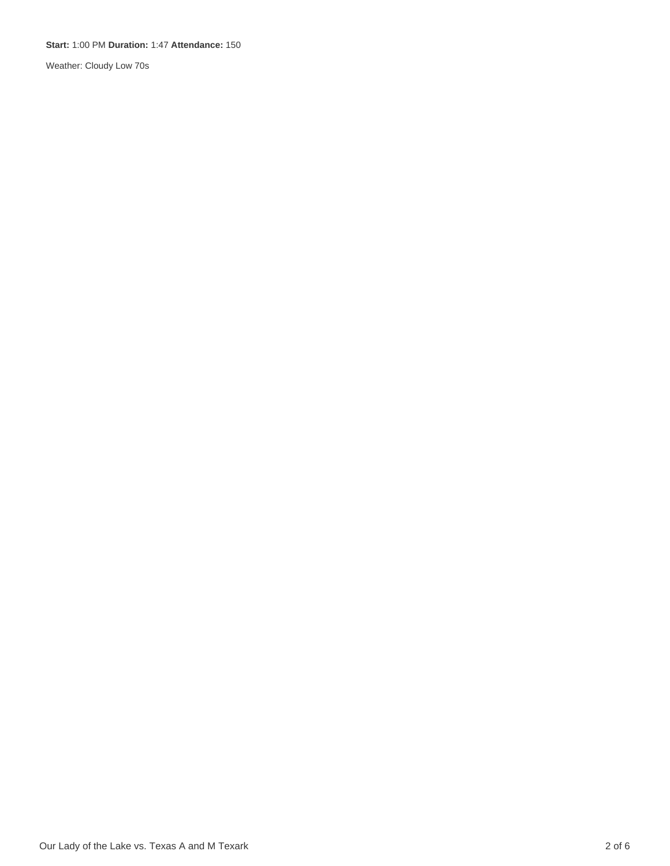#### **Start:** 1:00 PM **Duration:** 1:47 **Attendance:** 150

Weather: Cloudy Low 70s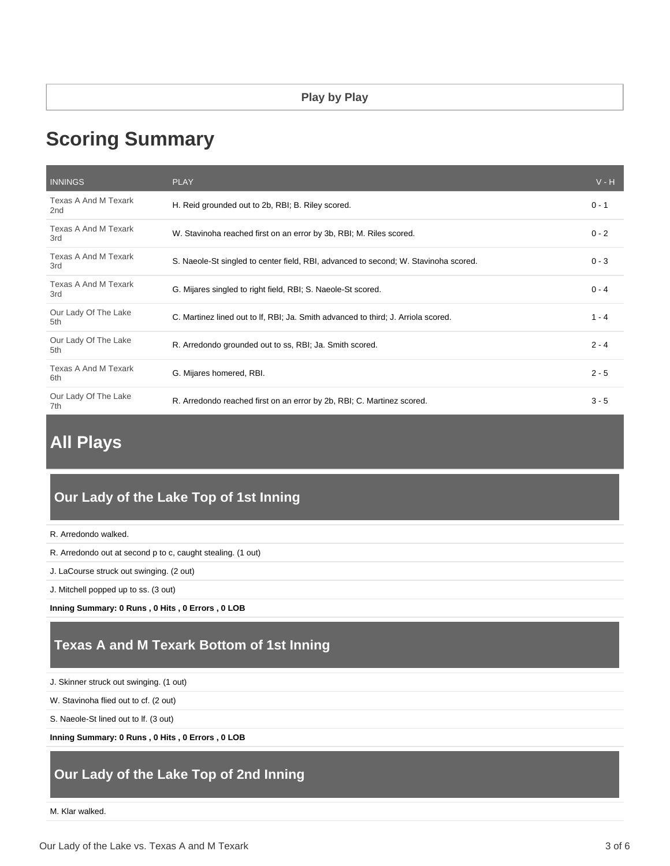# **Scoring Summary**

| <b>INNINGS</b>                          | <b>PLAY</b>                                                                         | $V - H$ |
|-----------------------------------------|-------------------------------------------------------------------------------------|---------|
| Texas A And M Texark<br>2 <sub>nd</sub> | H. Reid grounded out to 2b, RBI; B. Riley scored.                                   | $0 - 1$ |
| Texas A And M Texark<br>3rd             | W. Stavinoha reached first on an error by 3b, RBI; M. Riles scored.                 | $0 - 2$ |
| Texas A And M Texark<br>3rd             | S. Naeole-St singled to center field, RBI, advanced to second; W. Stavinoha scored. | $0 - 3$ |
| Texas A And M Texark<br>3rd             | G. Mijares singled to right field, RBI; S. Naeole-St scored.                        | $0 - 4$ |
| Our Lady Of The Lake<br>5th             | C. Martinez lined out to If, RBI; Ja. Smith advanced to third; J. Arriola scored.   | $1 - 4$ |
| Our Lady Of The Lake<br>5th             | R. Arredondo grounded out to ss, RBI; Ja. Smith scored.                             | $2 - 4$ |
| Texas A And M Texark<br>6th             | G. Mijares homered, RBI.                                                            | $2 - 5$ |
| Our Lady Of The Lake<br>7th             | R. Arredondo reached first on an error by 2b, RBI; C. Martinez scored.              | $3 - 5$ |

# **All Plays**

## **Our Lady of the Lake Top of 1st Inning**

```
R. Arredondo walked.
```
R. Arredondo out at second p to c, caught stealing. (1 out)

J. LaCourse struck out swinging. (2 out)

J. Mitchell popped up to ss. (3 out)

**Inning Summary: 0 Runs , 0 Hits , 0 Errors , 0 LOB**

# **Texas A and M Texark Bottom of 1st Inning**

J. Skinner struck out swinging. (1 out)

W. Stavinoha flied out to cf. (2 out)

S. Naeole-St lined out to lf. (3 out)

**Inning Summary: 0 Runs , 0 Hits , 0 Errors , 0 LOB**

## **Our Lady of the Lake Top of 2nd Inning**

M. Klar walked.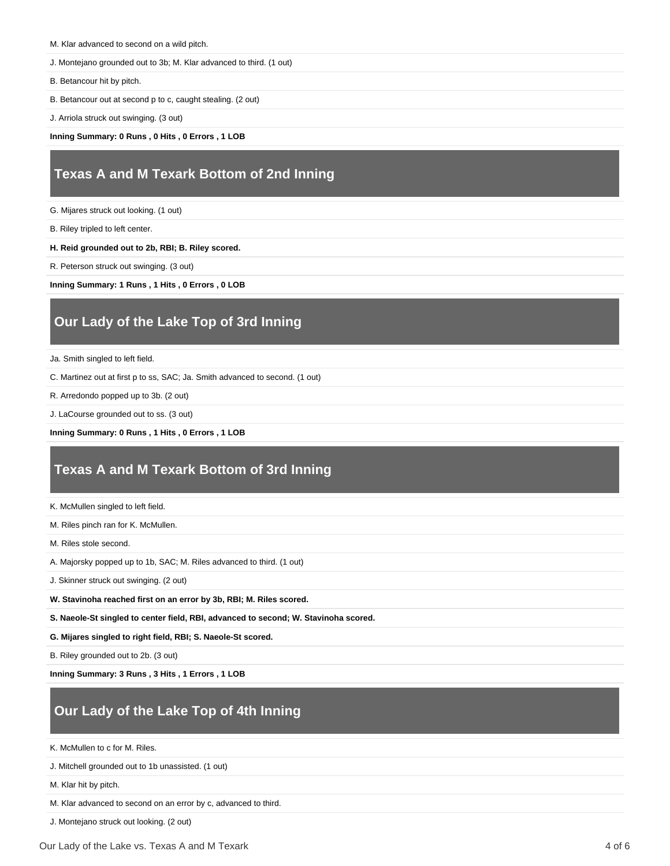M. Klar advanced to second on a wild pitch.

J. Montejano grounded out to 3b; M. Klar advanced to third. (1 out)

B. Betancour hit by pitch.

B. Betancour out at second p to c, caught stealing. (2 out)

J. Arriola struck out swinging. (3 out)

**Inning Summary: 0 Runs , 0 Hits , 0 Errors , 1 LOB**

## **Texas A and M Texark Bottom of 2nd Inning**

G. Mijares struck out looking. (1 out)

B. Riley tripled to left center.

**H. Reid grounded out to 2b, RBI; B. Riley scored.**

R. Peterson struck out swinging. (3 out)

**Inning Summary: 1 Runs , 1 Hits , 0 Errors , 0 LOB**

# **Our Lady of the Lake Top of 3rd Inning**

Ja. Smith singled to left field.

C. Martinez out at first p to ss, SAC; Ja. Smith advanced to second. (1 out)

R. Arredondo popped up to 3b. (2 out)

J. LaCourse grounded out to ss. (3 out)

**Inning Summary: 0 Runs , 1 Hits , 0 Errors , 1 LOB**

### **Texas A and M Texark Bottom of 3rd Inning**

K. McMullen singled to left field.

M. Riles pinch ran for K. McMullen.

M. Riles stole second.

A. Majorsky popped up to 1b, SAC; M. Riles advanced to third. (1 out)

J. Skinner struck out swinging. (2 out)

**W. Stavinoha reached first on an error by 3b, RBI; M. Riles scored.**

**S. Naeole-St singled to center field, RBI, advanced to second; W. Stavinoha scored.**

**G. Mijares singled to right field, RBI; S. Naeole-St scored.**

B. Riley grounded out to 2b. (3 out)

**Inning Summary: 3 Runs , 3 Hits , 1 Errors , 1 LOB**

# **Our Lady of the Lake Top of 4th Inning**

K. McMullen to c for M. Riles.

J. Mitchell grounded out to 1b unassisted. (1 out)

M. Klar hit by pitch.

M. Klar advanced to second on an error by c, advanced to third.

J. Montejano struck out looking. (2 out)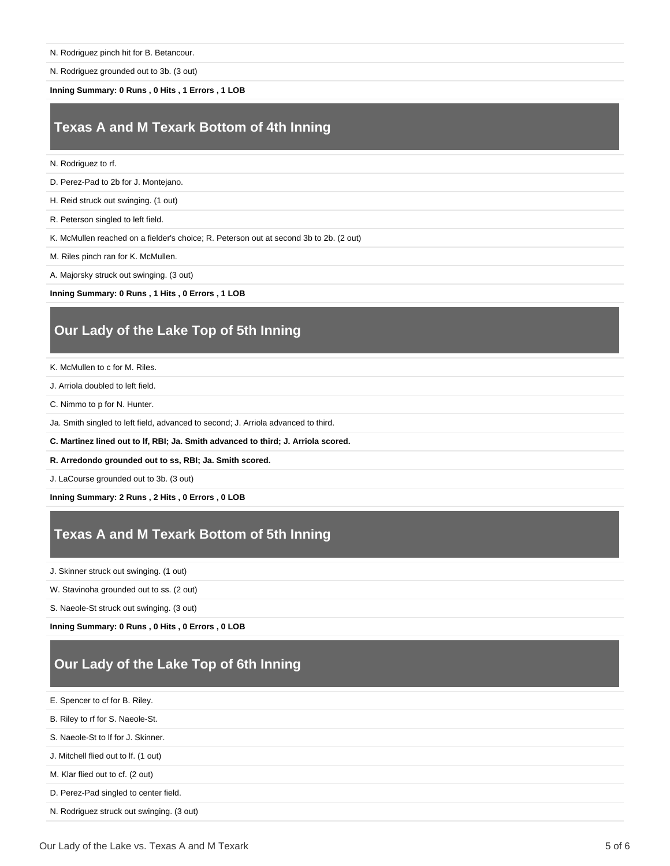N. Rodriguez grounded out to 3b. (3 out)

**Inning Summary: 0 Runs , 0 Hits , 1 Errors , 1 LOB**

#### **Texas A and M Texark Bottom of 4th Inning**

- N. Rodriguez to rf.
- D. Perez-Pad to 2b for J. Montejano.
- H. Reid struck out swinging. (1 out)
- R. Peterson singled to left field.

K. McMullen reached on a fielder's choice; R. Peterson out at second 3b to 2b. (2 out)

- M. Riles pinch ran for K. McMullen.
- A. Majorsky struck out swinging. (3 out)

**Inning Summary: 0 Runs , 1 Hits , 0 Errors , 1 LOB**

### **Our Lady of the Lake Top of 5th Inning**

- K. McMullen to c for M. Riles.
- J. Arriola doubled to left field.
- C. Nimmo to p for N. Hunter.
- Ja. Smith singled to left field, advanced to second; J. Arriola advanced to third.
- **C. Martinez lined out to lf, RBI; Ja. Smith advanced to third; J. Arriola scored.**
- **R. Arredondo grounded out to ss, RBI; Ja. Smith scored.**

J. LaCourse grounded out to 3b. (3 out)

**Inning Summary: 2 Runs , 2 Hits , 0 Errors , 0 LOB**

### **Texas A and M Texark Bottom of 5th Inning**

J. Skinner struck out swinging. (1 out)

- W. Stavinoha grounded out to ss. (2 out)
- S. Naeole-St struck out swinging. (3 out)

**Inning Summary: 0 Runs , 0 Hits , 0 Errors , 0 LOB**

# **Our Lady of the Lake Top of 6th Inning**

- E. Spencer to cf for B. Riley.
- B. Riley to rf for S. Naeole-St.
- S. Naeole-St to lf for J. Skinner.
- J. Mitchell flied out to lf. (1 out)
- M. Klar flied out to cf. (2 out)
- D. Perez-Pad singled to center field.
- N. Rodriguez struck out swinging. (3 out)